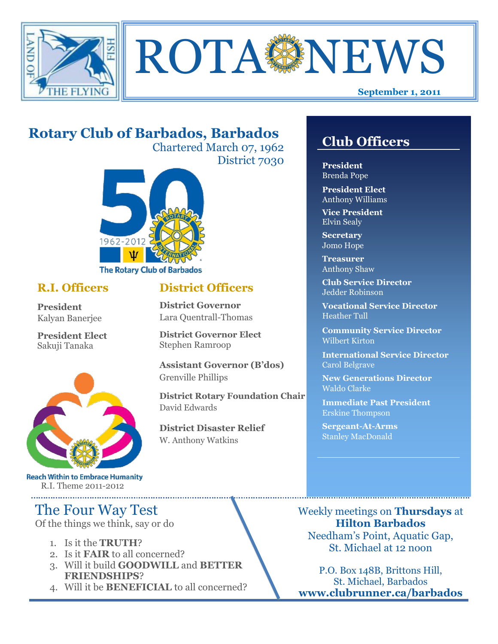



# **Rotary Club of Barbados, Barbados**

Chartered March 07, 1962 District 7030

**District Officers**

**District Governor Elect**

**District Disaster Relief**

W. Anthony Watkins

**Assistant Governor (B'dos)**

**District Rotary Foundation Chair**

**District Governor** Lara Quentrall-Thomas

Stephen Ramroop

Grenville Phillips

David Edwards



## **R.I. Officers**

**President**  Kalyan Banerjee

**President Elect** Sakuji Tanaka



**Reach Within to Embrace Humanity** R.I. Theme 2011-2012

## The Four Way Test

Of the things we think, say or do

- 1. Is it the **TRUTH**?
- 2. Is it **FAIR** to all concerned?
- 3. Will it build **GOODWILL** and **BETTER FRIENDSHIPS**?
- 4. Will it be **BENEFICIAL** to all concerned?

## **Club Officers**

**Club Officers** 

**President** Brenda Pope

**President Elect** Anthony Williams

**Vice President** Elvin Sealy

**Secretary** Jomo Hope

**Treasurer** Anthony Shaw

**Club Service Director** Jedder Robinson

**Vocational Service Director** Heather Tull

**Community Service Director** Wilbert Kirton

**International Service Director** Carol Belgrave

**New Generations Director** Waldo Clarke

**Immediate Past President** Erskine Thompson

**Sergeant-At-Arms** Stanley MacDonald

Weekly meetings on **Thursdays** at **Hilton Barbados** Needham's Point, Aquatic Gap, St. Michael at 12 noon

P.O. Box 148B, Brittons Hill, St. Michael, Barbados **www.clubrunner.ca/barbados**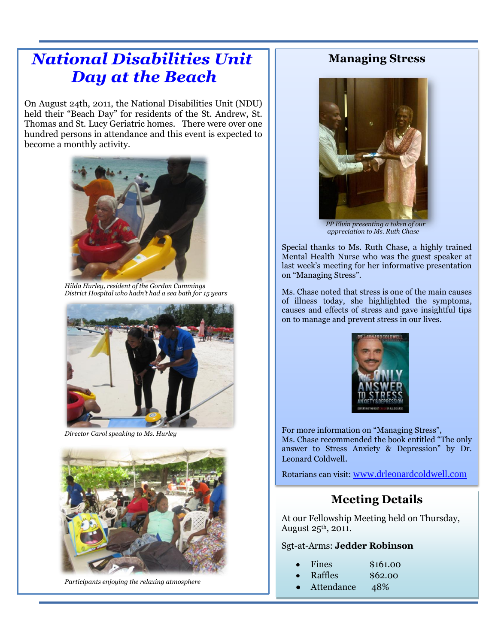# **National Disabilities Unit Day at the Beach**

On August 24th, 2011, the National Disabilities Unit (NDU) held their "Beach Day" for residents of the St. Andrew, St. Thomas and St. Lucy Geriatric homes. There were over one hundred persons in attendance and this event is expected to become a monthly activity.



*Hilda Hurley, resident of the Gordon Cummings District Hospital who hadn't had a sea bath for 15 years*



*Director Carol speaking to Ms. Hurley*



*Participants enjoying the relaxing atmosphere*

### **Managing Stress**



*PP Elvin presenting a token of our appreciation to Ms. Ruth Chase*

Special thanks to Ms. Ruth Chase, a highly trained Mental Health Nurse who was the guest speaker at last week's meeting for her informative presentation on "Managing Stress".

Ms. Chase noted that stress is one of the main causes of illness today, she highlighted the symptoms, causes and effects of stress and gave insightful tips on to manage and prevent stress in our lives.



For more information on "Managing Stress", Ms. Chase recommended the book entitled "The only answer to Stress Anxiety & Depression" by Dr. Leonard Coldwell.

Rotarians can visit: [www.drleonardcoldwell.com](http://www.drleonardcoldwell.com/)

### **Meeting Details**

At our Fellowship Meeting held on Thursday, August  $25<sup>th</sup>$ , 2011.

#### Sgt-at-Arms: **Jedder Robinson**

| Fines | \$161.00 |
|-------|----------|
|-------|----------|

- Raffles \$62.00
	- Attendance 48%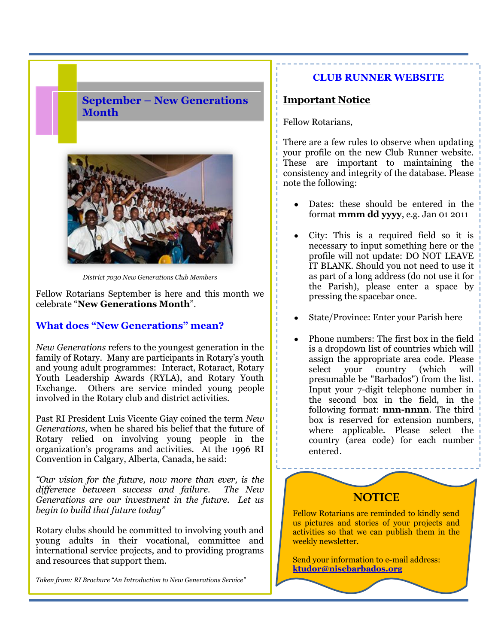### **September – New Generations Month**



*District 7030 New Generations Club Members*

Fellow Rotarians September is here and this month we celebrate "**New Generations Month**".

#### **What does "New Generations" mean?**

*New Generations* refers to the youngest generation in the family of Rotary. Many are participants in Rotary's youth and young adult programmes: Interact, Rotaract, Rotary Youth Leadership Awards (RYLA), and Rotary Youth Exchange. Others are service minded young people involved in the Rotary club and district activities.

Past RI President Luis Vicente Giay coined the term *New Generations*, when he shared his belief that the future of Rotary relied on involving young people in the organization's programs and activities. At the 1996 RI Convention in Calgary, Alberta, Canada, he said:

*"Our vision for the future, now more than ever, is the difference between success and failure. The New Generations are our investment in the future. Let us begin to build that future today"*

Rotary clubs should be committed to involving youth and young adults in their vocational, committee and international service projects, and to providing programs and resources that support them.

*Taken from: RI Brochure "An Introduction to New Generations Service"*

#### **CLUB RUNNER WEBSITE**

#### **Important Notice**

Fellow Rotarians,

There are a few rules to observe when updating your profile on the new Club Runner website. These are important to maintaining the consistency and integrity of the database. Please note the following:

- Dates: these should be entered in the format **mmm dd yyyy**, e.g. Jan 01 2011
- City: This is a required field so it is necessary to input something here or the profile will not update: DO NOT LEAVE IT BLANK. Should you not need to use it as part of a long address (do not use it for the Parish), please enter a space by pressing the spacebar once.
- State/Province: Enter your Parish here
- Phone numbers: The first box in the field is a dropdown list of countries which will assign the appropriate area code. Please select your country (which will presumable be "Barbados") from the list. Input your 7-digit telephone number in the second box in the field, in the following format: **nnn-nnnn**. The third box is reserved for extension numbers, where applicable. Please select the country (area code) for each number entered.



Send your information to e-mail address: **ktudor@nisebarbados.org**